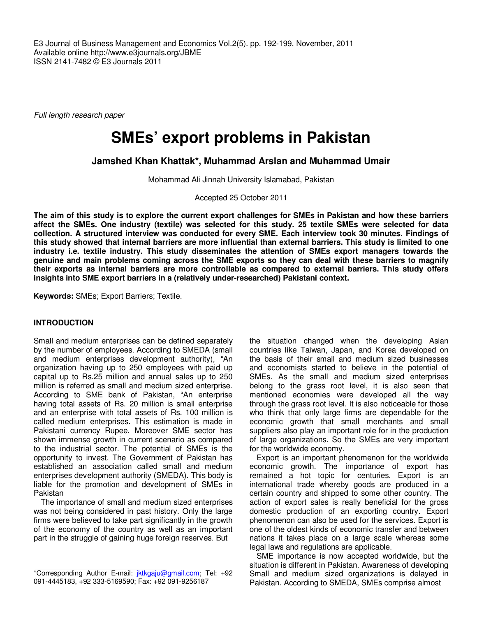E3 Journal of Business Management and Economics Vol.2(5). pp. 192-199, November, 2011 Available online http://www.e3journals.org/JBME ISSN 2141-7482 © E3 Journals 2011

Full length research paper

# **SMEs' export problems in Pakistan**

**Jamshed Khan Khattak\*, Muhammad Arslan and Muhammad Umair** 

Mohammad Ali Jinnah University Islamabad, Pakistan

Accepted 25 October 2011

**The aim of this study is to explore the current export challenges for SMEs in Pakistan and how these barriers affect the SMEs. One industry (textile) was selected for this study. 25 textile SMEs were selected for data collection. A structured interview was conducted for every SME. Each interview took 30 minutes. Findings of this study showed that internal barriers are more influential than external barriers. This study is limited to one industry i.e. textile industry. This study disseminates the attention of SMEs export managers towards the genuine and main problems coming across the SME exports so they can deal with these barriers to magnify their exports as internal barriers are more controllable as compared to external barriers. This study offers insights into SME export barriers in a (relatively under-researched) Pakistani context.** 

**Keywords:** SMEs; Export Barriers; Textile.

## **INTRODUCTION**

Small and medium enterprises can be defined separately by the number of employees. According to SMEDA (small and medium enterprises development authority), "An organization having up to 250 employees with paid up capital up to Rs.25 million and annual sales up to 250 million is referred as small and medium sized enterprise. According to SME bank of Pakistan, "An enterprise having total assets of Rs. 20 million is small enterprise and an enterprise with total assets of Rs. 100 million is called medium enterprises. This estimation is made in Pakistani currency Rupee. Moreover SME sector has shown immense growth in current scenario as compared to the industrial sector. The potential of SMEs is the opportunity to invest. The Government of Pakistan has established an association called small and medium enterprises development authority (SMEDA). This body is liable for the promotion and development of SMEs in Pakistan

The importance of small and medium sized enterprises was not being considered in past history. Only the large firms were believed to take part significantly in the growth of the economy of the country as well as an important part in the struggle of gaining huge foreign reserves. But

the situation changed when the developing Asian countries like Taiwan, Japan, and Korea developed on the basis of their small and medium sized businesses and economists started to believe in the potential of SMEs. As the small and medium sized enterprises belong to the grass root level, it is also seen that mentioned economies were developed all the way through the grass root level. It is also noticeable for those who think that only large firms are dependable for the economic growth that small merchants and small suppliers also play an important role for in the production of large organizations. So the SMEs are very important for the worldwide economy.

Export is an important phenomenon for the worldwide economic growth. The importance of export has remained a hot topic for centuries. Export is an international trade whereby goods are produced in a certain country and shipped to some other country. The action of export sales is really beneficial for the gross domestic production of an exporting country. Export phenomenon can also be used for the services. Export is one of the oldest kinds of economic transfer and between nations it takes place on a large scale whereas some legal laws and regulations are applicable.

SME importance is now accepted worldwide, but the situation is different in Pakistan. Awareness of developing Small and medium sized organizations is delayed in Pakistan. According to SMEDA, SMEs comprise almost

<sup>\*</sup>Corresponding Author E-mail: jktkgaju@gmail.com; Tel: +92 091-4445183, +92 333-5169590; Fax: +92 091-9256187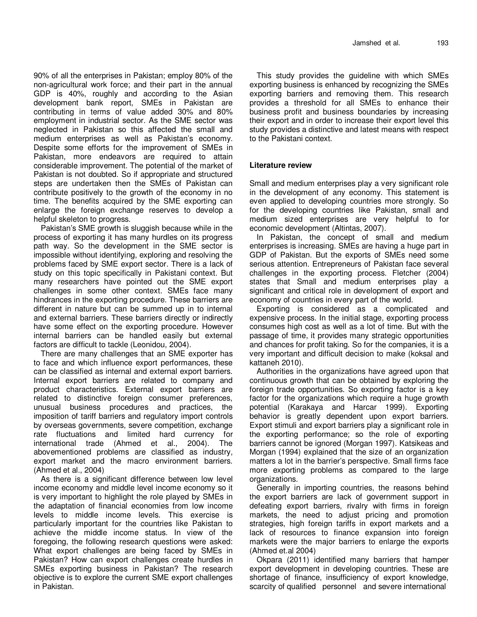90% of all the enterprises in Pakistan; employ 80% of the non-agricultural work force; and their part in the annual GDP is 40%, roughly and according to the Asian development bank report, SMEs in Pakistan are contributing in terms of value added 30% and 80% employment in industrial sector. As the SME sector was neglected in Pakistan so this affected the small and medium enterprises as well as Pakistan's economy. Despite some efforts for the improvement of SMEs in Pakistan, more endeavors are required to attain considerable improvement. The potential of the market of Pakistan is not doubted. So if appropriate and structured steps are undertaken then the SMEs of Pakistan can contribute positively to the growth of the economy in no time. The benefits acquired by the SME exporting can enlarge the foreign exchange reserves to develop a helpful skeleton to progress.

Pakistan's SME growth is sluggish because while in the process of exporting it has many hurdles on its progress path way. So the development in the SME sector is impossible without identifying, exploring and resolving the problems faced by SME export sector. There is a lack of study on this topic specifically in Pakistani context. But many researchers have pointed out the SME export challenges in some other context. SMEs face many hindrances in the exporting procedure. These barriers are different in nature but can be summed up in to internal and external barriers. These barriers directly or indirectly have some effect on the exporting procedure. However internal barriers can be handled easily but external factors are difficult to tackle (Leonidou, 2004).

There are many challenges that an SME exporter has to face and which influence export performances, these can be classified as internal and external export barriers. Internal export barriers are related to company and product characteristics. External export barriers are related to distinctive foreign consumer preferences, unusual business procedures and practices, the imposition of tariff barriers and regulatory import controls by overseas governments, severe competition, exchange rate fluctuations and limited hard currency for international trade (Ahmed et al., 2004). The abovementioned problems are classified as industry, export market and the macro environment barriers. (Ahmed et al., 2004)

As there is a significant difference between low level income economy and middle level income economy so it is very important to highlight the role played by SMEs in the adaptation of financial economies from low income levels to middle income levels. This exercise is particularly important for the countries like Pakistan to achieve the middle income status. In view of the foregoing, the following research questions were asked: What export challenges are being faced by SMEs in Pakistan? How can export challenges create hurdles in SMEs exporting business in Pakistan? The research objective is to explore the current SME export challenges in Pakistan.

This study provides the guideline with which SMEs exporting business is enhanced by recognizing the SMEs exporting barriers and removing them. This research provides a threshold for all SMEs to enhance their business profit and business boundaries by increasing their export and in order to increase their export level this study provides a distinctive and latest means with respect to the Pakistani context.

#### **Literature review**

Small and medium enterprises play a very significant role in the development of any economy. This statement is even applied to developing countries more strongly. So for the developing countries like Pakistan, small and medium sized enterprises are very helpful to for economic development (Altintas, 2007).

In Pakistan, the concept of small and medium enterprises is increasing. SMEs are having a huge part in GDP of Pakistan. But the exports of SMEs need some serious attention. Entrepreneurs of Pakistan face several challenges in the exporting process. Fletcher (2004) states that Small and medium enterprises play a significant and critical role in development of export and economy of countries in every part of the world.

Exporting is considered as a complicated and expensive process. In the initial stage, exporting process consumes high cost as well as a lot of time. But with the passage of time, it provides many strategic opportunities and chances for profit taking. So for the companies, it is a very important and difficult decision to make (koksal and kattaneh 2010).

Authorities in the organizations have agreed upon that continuous growth that can be obtained by exploring the foreign trade opportunities. So exporting factor is a key factor for the organizations which require a huge growth potential (Karakaya and Harcar 1999). Exporting behavior is greatly dependent upon export barriers. Export stimuli and export barriers play a significant role in the exporting performance; so the role of exporting barriers cannot be ignored (Morgan 1997). Katsikeas and Morgan (1994) explained that the size of an organization matters a lot in the barrier's perspective. Small firms face more exporting problems as compared to the large organizations.

Generally in importing countries, the reasons behind the export barriers are lack of government support in defeating export barriers, rivalry with firms in foreign markets, the need to adjust pricing and promotion strategies, high foreign tariffs in export markets and a lack of resources to finance expansion into foreign markets were the major barriers to enlarge the exports (Ahmed et.al 2004)

Okpara (2011) identified many barriers that hamper export development in developing countries. These are shortage of finance, insufficiency of export knowledge, scarcity of qualified personnel and severe international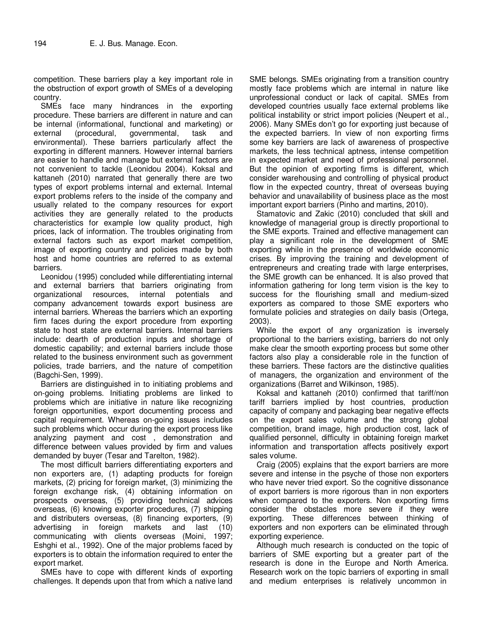competition. These barriers play a key important role in the obstruction of export growth of SMEs of a developing country.

SMEs face many hindrances in the exporting procedure. These barriers are different in nature and can be internal (informational, functional and marketing) or external (procedural, governmental, task and environmental). These barriers particularly affect the exporting in different manners. However internal barriers are easier to handle and manage but external factors are not convenient to tackle (Leonidou 2004). Koksal and kattaneh (2010) narrated that generally there are two types of export problems internal and external. Internal export problems refers to the inside of the company and usually related to the company resources for export activities they are generally related to the products characteristics for example low quality product, high prices, lack of information. The troubles originating from external factors such as export market competition, image of exporting country and policies made by both host and home countries are referred to as external barriers.

Leonidou (1995) concluded while differentiating internal and external barriers that barriers originating from organizational resources, internal potentials and company advancement towards export business are internal barriers. Whereas the barriers which an exporting firm faces during the export procedure from exporting state to host state are external barriers. Internal barriers include: dearth of production inputs and shortage of domestic capability; and external barriers include those related to the business environment such as government policies, trade barriers, and the nature of competition (Bagchi-Sen, 1999).

Barriers are distinguished in to initiating problems and on-going problems. Initiating problems are linked to problems which are initiative in nature like recognizing foreign opportunities, export documenting process and capital requirement. Whereas on-going issues includes such problems which occur during the export process like analyzing payment and cost , demonstration and difference between values provided by firm and values demanded by buyer (Tesar and Tarelton, 1982).

The most difficult barriers differentiating exporters and non exporters are, (1) adapting products for foreign markets, (2) pricing for foreign market, (3) minimizing the foreign exchange risk, (4) obtaining information on prospects overseas, (5) providing technical advices overseas, (6) knowing exporter procedures, (7) shipping and distributers overseas, (8) financing exporters, (9) advertising in foreign markets and last (10) communicating with clients overseas (Moini, 1997; Eshghi et al., 1992). One of the major problems faced by exporters is to obtain the information required to enter the export market.

SMEs have to cope with different kinds of exporting challenges. It depends upon that from which a native land SME belongs. SMEs originating from a transition country mostly face problems which are internal in nature like unprofessional conduct or lack of capital. SMEs from developed countries usually face external problems like political instability or strict import policies (Neupert et al., 2006). Many SMEs don't go for exporting just because of the expected barriers. In view of non exporting firms some key barriers are lack of awareness of prospective markets, the less technical aptness, intense competition in expected market and need of professional personnel. But the opinion of exporting firms is different, which consider warehousing and controlling of physical product flow in the expected country, threat of overseas buying behavior and unavailability of business place as the most important export barriers (Pinho and martins, 2010).

Stamatovic and Zakic (2010) concluded that skill and knowledge of managerial group is directly proportional to the SME exports. Trained and effective management can play a significant role in the development of SME exporting while in the presence of worldwide economic crises. By improving the training and development of entrepreneurs and creating trade with large enterprises, the SME growth can be enhanced. It is also proved that information gathering for long term vision is the key to success for the flourishing small and medium-sized exporters as compared to those SME exporters who formulate policies and strategies on daily basis (Ortega, 2003).

While the export of any organization is inversely proportional to the barriers existing, barriers do not only make clear the smooth exporting process but some other factors also play a considerable role in the function of these barriers. These factors are the distinctive qualities of managers, the organization and environment of the organizations (Barret and Wilkinson, 1985).

Koksal and kattaneh (2010) confirmed that tariff/non tariff barriers implied by host countries, production capacity of company and packaging bear negative effects on the export sales volume and the strong global competition, brand image, high production cost, lack of qualified personnel, difficulty in obtaining foreign market information and transportation affects positively export sales volume.

Craig (2005) explains that the export barriers are more severe and intense in the psyche of those non exporters who have never tried export. So the cognitive dissonance of export barriers is more rigorous than in non exporters when compared to the exporters. Non exporting firms consider the obstacles more severe if they were exporting. These differences between thinking of exporters and non exporters can be eliminated through exporting experience.

Although much research is conducted on the topic of barriers of SME exporting but a greater part of the research is done in the Europe and North America. Research work on the topic barriers of exporting in small and medium enterprises is relatively uncommon in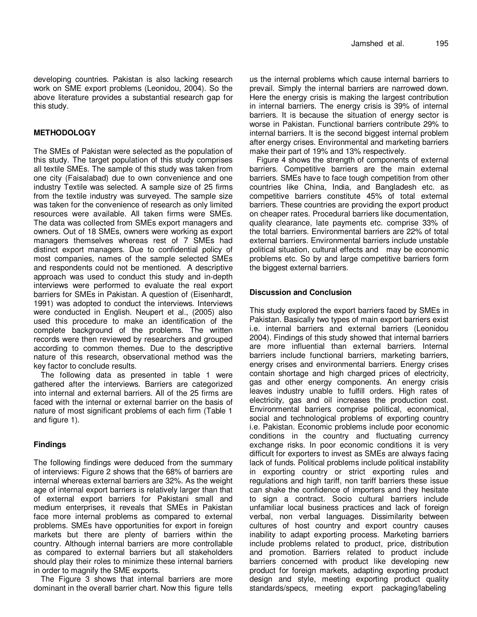developing countries. Pakistan is also lacking research work on SME export problems (Leonidou, 2004). So the above literature provides a substantial research gap for this study.

# **METHODOLOGY**

The SMEs of Pakistan were selected as the population of this study. The target population of this study comprises all textile SMEs. The sample of this study was taken from one city (Faisalabad) due to own convenience and one industry Textile was selected. A sample size of 25 firms from the textile industry was surveyed. The sample size was taken for the convenience of research as only limited resources were available. All taken firms were SMEs. The data was collected from SMEs export managers and owners. Out of 18 SMEs, owners were working as export managers themselves whereas rest of 7 SMEs had distinct export managers. Due to confidential policy of most companies, names of the sample selected SMEs and respondents could not be mentioned. A descriptive approach was used to conduct this study and in-depth interviews were performed to evaluate the real export barriers for SMEs in Pakistan. A question of (Eisenhardt, 1991) was adopted to conduct the interviews. Interviews were conducted in English. Neupert et al., (2005) also used this procedure to make an identification of the complete background of the problems. The written records were then reviewed by researchers and grouped according to common themes. Due to the descriptive nature of this research, observational method was the key factor to conclude results.

The following data as presented in table 1 were gathered after the interviews. Barriers are categorized into internal and external barriers. All of the 25 firms are faced with the internal or external barrier on the basis of nature of most significant problems of each firm (Table 1 and figure 1).

## **Findings**

The following findings were deduced from the summary of interviews: Figure 2 shows that the 68% of barriers are internal whereas external barriers are 32%. As the weight age of internal export barriers is relatively larger than that of external export barriers for Pakistani small and medium enterprises, it reveals that SMEs in Pakistan face more internal problems as compared to external problems. SMEs have opportunities for export in foreign markets but there are plenty of barriers within the country. Although internal barriers are more controllable as compared to external barriers but all stakeholders should play their roles to minimize these internal barriers in order to magnify the SME exports.

The Figure 3 shows that internal barriers are more dominant in the overall barrier chart. Now this figure tells us the internal problems which cause internal barriers to prevail. Simply the internal barriers are narrowed down. Here the energy crisis is making the largest contribution in internal barriers. The energy crisis is 39% of internal barriers. It is because the situation of energy sector is worse in Pakistan. Functional barriers contribute 29% to internal barriers. It is the second biggest internal problem after energy crises. Environmental and marketing barriers make their part of 19% and 13% respectively.

Figure 4 shows the strength of components of external barriers. Competitive barriers are the main external barriers. SMEs have to face tough competition from other countries like China, India, and Bangladesh etc. as competitive barriers constitute 45% of total external barriers. These countries are providing the export product on cheaper rates. Procedural barriers like documentation, quality clearance, late payments etc. comprise 33% of the total barriers. Environmental barriers are 22% of total external barriers. Environmental barriers include unstable political situation, cultural effects and may be economic problems etc. So by and large competitive barriers form the biggest external barriers.

# **Discussion and Conclusion**

This study explored the export barriers faced by SMEs in Pakistan. Basically two types of main export barriers exist i.e. internal barriers and external barriers (Leonidou 2004). Findings of this study showed that internal barriers are more influential than external barriers. Internal barriers include functional barriers, marketing barriers, energy crises and environmental barriers. Energy crises contain shortage and high charged prices of electricity, gas and other energy components. An energy crisis leaves industry unable to fulfill orders. High rates of electricity, gas and oil increases the production cost. Environmental barriers comprise political, economical, social and technological problems of exporting country i.e. Pakistan. Economic problems include poor economic conditions in the country and fluctuating currency exchange risks. In poor economic conditions it is very difficult for exporters to invest as SMEs are always facing lack of funds. Political problems include political instability in exporting country or strict exporting rules and regulations and high tariff, non tariff barriers these issue can shake the confidence of importers and they hesitate to sign a contract. Socio cultural barriers include unfamiliar local business practices and lack of foreign verbal, non verbal languages. Dissimilarity between cultures of host country and export country causes inability to adapt exporting process. Marketing barriers include problems related to product, price, distribution and promotion. Barriers related to product include barriers concerned with product like developing new product for foreign markets, adapting exporting product design and style, meeting exporting product quality standards/specs, meeting export packaging/labeling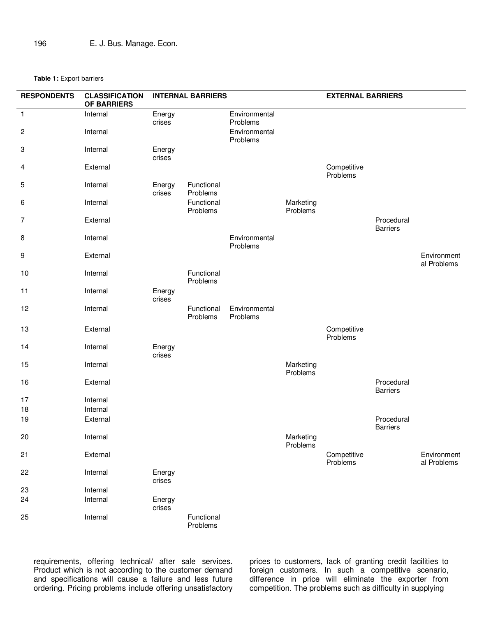#### **Table 1:** Export barriers

| <b>RESPONDENTS</b> | <b>CLASSIFICATION</b><br><b>OF BARRIERS</b> | <b>INTERNAL BARRIERS</b> |                        |                           | <b>EXTERNAL BARRIERS</b> |                         |                               |                            |
|--------------------|---------------------------------------------|--------------------------|------------------------|---------------------------|--------------------------|-------------------------|-------------------------------|----------------------------|
| $\mathbf{1}$       | Internal                                    | Energy<br>crises         |                        | Environmental<br>Problems |                          |                         |                               |                            |
| 2                  | Internal                                    |                          |                        | Environmental<br>Problems |                          |                         |                               |                            |
| 3                  | Internal                                    | Energy<br>crises         |                        |                           |                          |                         |                               |                            |
| 4                  | External                                    |                          |                        |                           |                          | Competitive<br>Problems |                               |                            |
| 5                  | Internal                                    | Energy<br>crises         | Functional<br>Problems |                           |                          |                         |                               |                            |
| 6                  | Internal                                    |                          | Functional<br>Problems |                           | Marketing<br>Problems    |                         |                               |                            |
| $\overline{7}$     | External                                    |                          |                        |                           |                          |                         | Procedural<br><b>Barriers</b> |                            |
| 8                  | Internal                                    |                          |                        | Environmental<br>Problems |                          |                         |                               |                            |
| 9                  | External                                    |                          |                        |                           |                          |                         |                               | Environment<br>al Problems |
| 10                 | Internal                                    |                          | Functional<br>Problems |                           |                          |                         |                               |                            |
| 11                 | Internal                                    | Energy<br>crises         |                        |                           |                          |                         |                               |                            |
| 12                 | Internal                                    |                          | Functional<br>Problems | Environmental<br>Problems |                          |                         |                               |                            |
| 13                 | External                                    |                          |                        |                           |                          | Competitive<br>Problems |                               |                            |
| 14                 | Internal                                    | Energy<br>crises         |                        |                           |                          |                         |                               |                            |
| 15                 | Internal                                    |                          |                        |                           | Marketing<br>Problems    |                         |                               |                            |
| 16                 | External                                    |                          |                        |                           |                          |                         | Procedural<br><b>Barriers</b> |                            |
| 17                 | Internal                                    |                          |                        |                           |                          |                         |                               |                            |
| 18                 | Internal                                    |                          |                        |                           |                          |                         |                               |                            |
| 19                 | External                                    |                          |                        |                           |                          |                         | Procedural<br><b>Barriers</b> |                            |
| 20                 | Internal                                    |                          |                        |                           | Marketing<br>Problems    |                         |                               |                            |
| 21                 | External                                    |                          |                        |                           |                          | Competitive<br>Problems |                               | Environment<br>al Problems |
| 22                 | Internal                                    | Energy<br>crises         |                        |                           |                          |                         |                               |                            |
| 23                 | Internal                                    |                          |                        |                           |                          |                         |                               |                            |
| 24                 | Internal                                    | Energy<br>crises         |                        |                           |                          |                         |                               |                            |
| 25                 | Internal                                    |                          | Functional<br>Problems |                           |                          |                         |                               |                            |

requirements, offering technical/ after sale services. Product which is not according to the customer demand and specifications will cause a failure and less future ordering. Pricing problems include offering unsatisfactory

prices to customers, lack of granting credit facilities to foreign customers. In such a competitive scenario, difference in price will eliminate the exporter from competition. The problems such as difficulty in supplying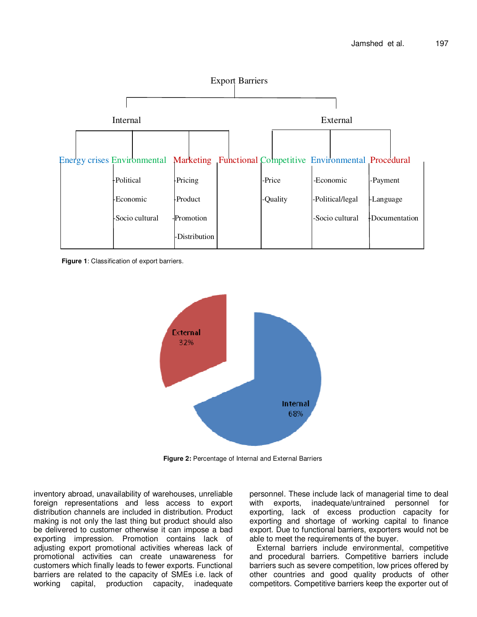

**Figure 1**: Classification of export barriers.



**Figure 2:** Percentage of Internal and External Barriers

inventory abroad, unavailability of warehouses, unreliable foreign representations and less access to export distribution channels are included in distribution. Product making is not only the last thing but product should also be delivered to customer otherwise it can impose a bad exporting impression. Promotion contains lack of adjusting export promotional activities whereas lack of promotional activities can create unawareness for customers which finally leads to fewer exports. Functional barriers are related to the capacity of SMEs i.e. lack of working capital, production capacity, inadequate personnel. These include lack of managerial time to deal with exports, inadequate/untrained personnel for exporting, lack of excess production capacity for exporting and shortage of working capital to finance export. Due to functional barriers, exporters would not be able to meet the requirements of the buyer.

External barriers include environmental, competitive and procedural barriers. Competitive barriers include barriers such as severe competition, low prices offered by other countries and good quality products of other competitors. Competitive barriers keep the exporter out of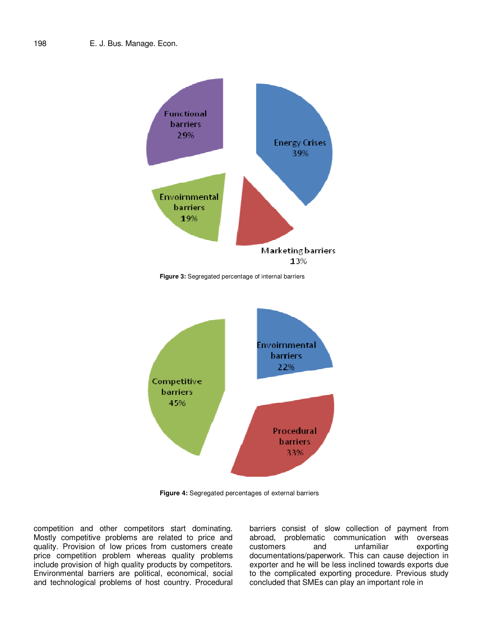

**Figure 4:** Segregated percentages of external barriers

competition and other competitors start dominating. Mostly competitive problems are related to price and quality. Provision of low prices from customers create price competition problem whereas quality problems include provision of high quality products by competitors. Environmental barriers are political, economical, social and technological problems of host country. Procedural barriers consist of slow collection of payment from abroad, problematic communication with overseas customers and unfamiliar exporting documentations/paperwork. This can cause dejection in exporter and he will be less inclined towards exports due to the complicated exporting procedure. Previous study concluded that SMEs can play an important role in